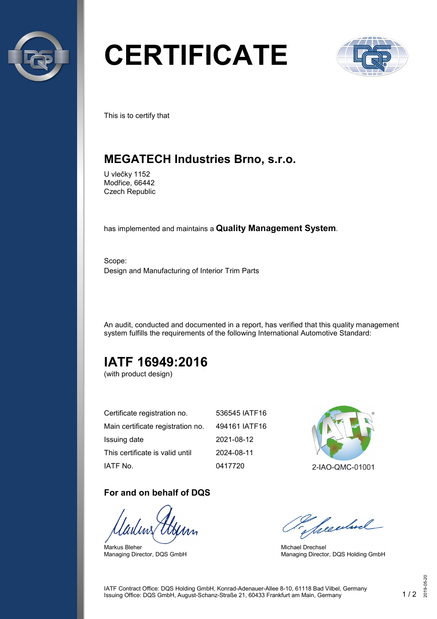

# **CERTIFICATE**



This is to certify that

## **MEGATECH Industries Brno, s.r.o.**

U vlečky 1152 Modřice, 66442 Czech Republic

has implemented and maintains a **Quality Management System**.

Scope: Design and Manufacturing of Interior Trim Parts

An audit, conducted and documented in a report, has verified that this quality management system fulfills the requirements of the following International Automotive Standard:

## **IATF 16949:2016**

(with product design)

| Certificate registration no.      | 536545 IATF16 |
|-----------------------------------|---------------|
| Main certificate registration no. | 494161 IATF16 |
| Issuing date                      | 2021-08-12    |
| This certificate is valid until   | 2024-08-11    |
| IATF No.                          | 0417720       |

#### **For and on behalf of DQS**

Markus Bleher Managing Director, DQS GmbH



Seculard

Michael Drechsel Managing Director, DQS Holding GmbH

IATF Contract Office: DQS Holding GmbH, Konrad-Adenauer-Allee 8-10, 61118 Bad Vilbel, Germany Issuing Office: DQS GmbH, August-Schanz-Straße 21, 60433 Frankfurt am Main, Germany 1 / 2